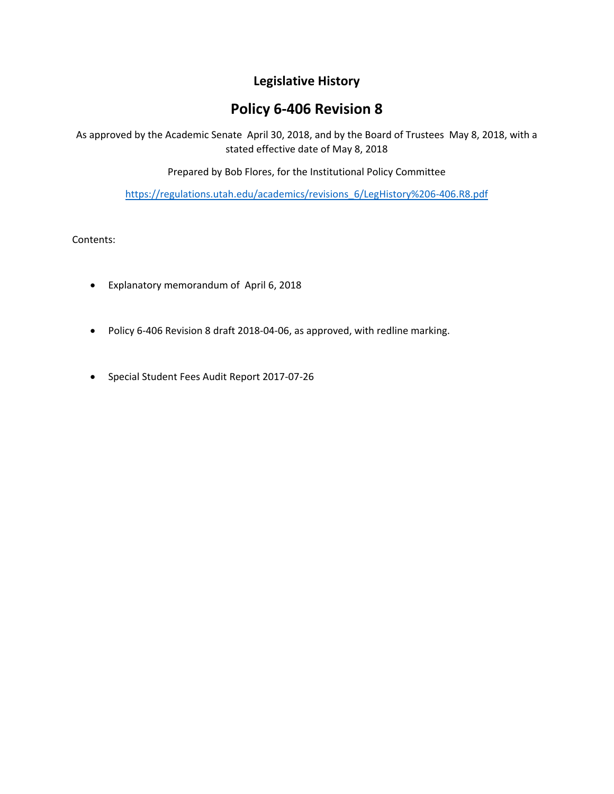# **Legislative History**

# **Policy 6‐406 Revision 8**

As approved by the Academic Senate April 30, 2018, and by the Board of Trustees May 8, 2018, with a stated effective date of May 8, 2018

Prepared by Bob Flores, for the Institutional Policy Committee

https://regulations.utah.edu/academics/revisions\_6/LegHistory%206‐406.R8.pdf

Contents:

- Explanatory memorandum of April 6, 2018
- Policy 6-406 Revision 8 draft 2018-04-06, as approved, with redline marking.
- Special Student Fees Audit Report 2017‐07‐26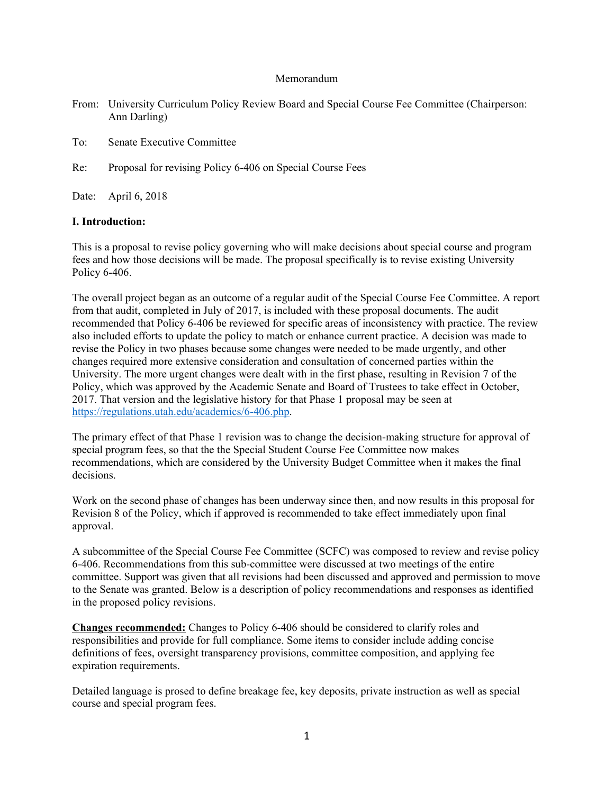### Memorandum

- From: University Curriculum Policy Review Board and Special Course Fee Committee (Chairperson: Ann Darling)
- To: Senate Executive Committee
- Re: Proposal for revising Policy 6-406 on Special Course Fees

Date: April 6, 2018

### **I. Introduction:**

This is a proposal to revise policy governing who will make decisions about special course and program fees and how those decisions will be made. The proposal specifically is to revise existing University Policy 6-406.

The overall project began as an outcome of a regular audit of the Special Course Fee Committee. A report from that audit, completed in July of 2017, is included with these proposal documents. The audit recommended that Policy 6-406 be reviewed for specific areas of inconsistency with practice. The review also included efforts to update the policy to match or enhance current practice. A decision was made to revise the Policy in two phases because some changes were needed to be made urgently, and other changes required more extensive consideration and consultation of concerned parties within the University. The more urgent changes were dealt with in the first phase, resulting in Revision 7 of the Policy, which was approved by the Academic Senate and Board of Trustees to take effect in October, 2017. That version and the legislative history for that Phase 1 proposal may be seen at https://regulations.utah.edu/academics/6-406.php.

The primary effect of that Phase 1 revision was to change the decision-making structure for approval of special program fees, so that the the Special Student Course Fee Committee now makes recommendations, which are considered by the University Budget Committee when it makes the final decisions.

Work on the second phase of changes has been underway since then, and now results in this proposal for Revision 8 of the Policy, which if approved is recommended to take effect immediately upon final approval.

A subcommittee of the Special Course Fee Committee (SCFC) was composed to review and revise policy 6-406. Recommendations from this sub-committee were discussed at two meetings of the entire committee. Support was given that all revisions had been discussed and approved and permission to move to the Senate was granted. Below is a description of policy recommendations and responses as identified in the proposed policy revisions.

**Changes recommended:** Changes to Policy 6-406 should be considered to clarify roles and responsibilities and provide for full compliance. Some items to consider include adding concise definitions of fees, oversight transparency provisions, committee composition, and applying fee expiration requirements.

Detailed language is prosed to define breakage fee, key deposits, private instruction as well as special course and special program fees.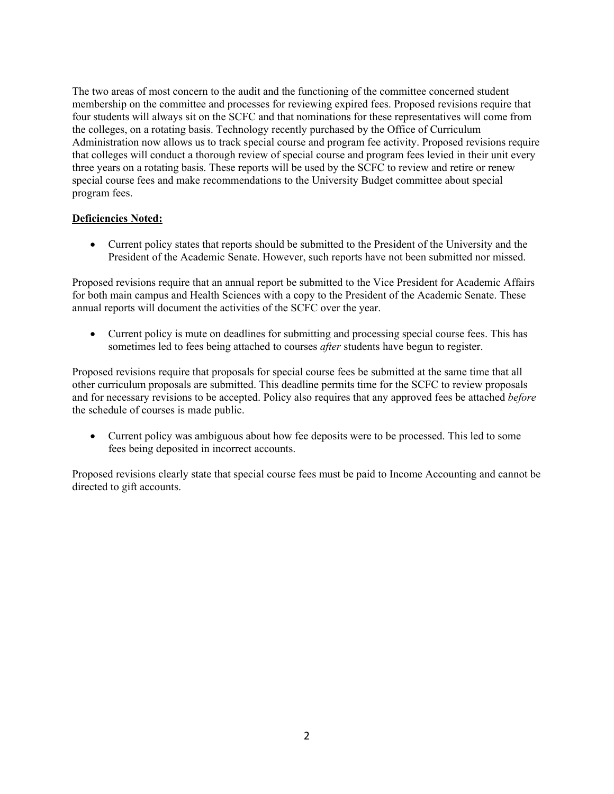The two areas of most concern to the audit and the functioning of the committee concerned student membership on the committee and processes for reviewing expired fees. Proposed revisions require that four students will always sit on the SCFC and that nominations for these representatives will come from the colleges, on a rotating basis. Technology recently purchased by the Office of Curriculum Administration now allows us to track special course and program fee activity. Proposed revisions require that colleges will conduct a thorough review of special course and program fees levied in their unit every three years on a rotating basis. These reports will be used by the SCFC to review and retire or renew special course fees and make recommendations to the University Budget committee about special program fees.

# **Deficiencies Noted:**

 Current policy states that reports should be submitted to the President of the University and the President of the Academic Senate. However, such reports have not been submitted nor missed.

Proposed revisions require that an annual report be submitted to the Vice President for Academic Affairs for both main campus and Health Sciences with a copy to the President of the Academic Senate. These annual reports will document the activities of the SCFC over the year.

 Current policy is mute on deadlines for submitting and processing special course fees. This has sometimes led to fees being attached to courses *after* students have begun to register.

Proposed revisions require that proposals for special course fees be submitted at the same time that all other curriculum proposals are submitted. This deadline permits time for the SCFC to review proposals and for necessary revisions to be accepted. Policy also requires that any approved fees be attached *before* the schedule of courses is made public.

 Current policy was ambiguous about how fee deposits were to be processed. This led to some fees being deposited in incorrect accounts.

Proposed revisions clearly state that special course fees must be paid to Income Accounting and cannot be directed to gift accounts.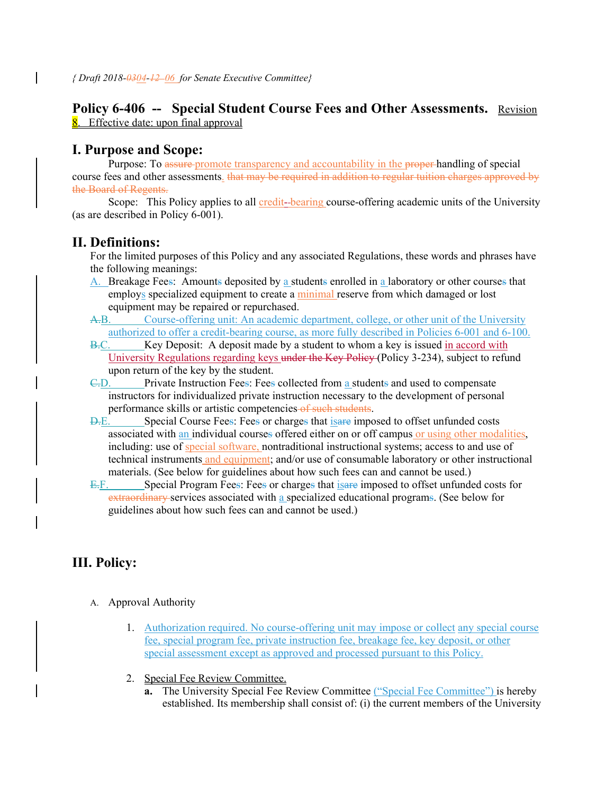# Policy 6-406 -- Special Student Course Fees and Other Assessments. Revision 8. Effective date: upon final approval

# **I. Purpose and Scope:**

Purpose: To assure-promote transparency and accountability in the proper-handling of special course fees and other assessments. that may be required in addition to regular tuition charges approved by the Board of Regents.

Scope: This Policy applies to all credit-bearing course-offering academic units of the University (as are described in Policy 6-001).

# **II. Definitions:**

For the limited purposes of this Policy and any associated Regulations, these words and phrases have the following meanings:

- A. Breakage Fees: Amounts deposited by a students enrolled in a laboratory or other courses that employs specialized equipment to create a minimal reserve from which damaged or lost equipment may be repaired or repurchased.
- A.B. Course-offering unit: An academic department, college, or other unit of the University authorized to offer a credit-bearing course, as more fully described in Policies 6-001 and 6-100.
- B.C. Key Deposit: A deposit made by a student to whom a key is issued in accord with University Regulations regarding keys under the Key Policy (Policy 3-234), subject to refund upon return of the key by the student.
- C.D. Private Instruction Fees: Fees collected from a students and used to compensate instructors for individualized private instruction necessary to the development of personal performance skills or artistic competencies of such students.
- D.E. Special Course Fees: Fees or charges that isare imposed to offset unfunded costs associated with an individual courses offered either on or off campus or using other modalities, including: use of special software, nontraditional instructional systems; access to and use of technical instruments and equipment; and/or use of consumable laboratory or other instructional materials. (See below for guidelines about how such fees can and cannot be used.)
- E.F. Special Program Fees: Fees or charges that is a regimposed to offset unfunded costs for extraordinary services associated with a specialized educational programs. (See below for guidelines about how such fees can and cannot be used.)

# **III. Policy:**

- A. Approval Authority
	- 1. Authorization required. No course-offering unit may impose or collect any special course fee, special program fee, private instruction fee, breakage fee, key deposit, or other special assessment except as approved and processed pursuant to this Policy.
	- 2. Special Fee Review Committee.
		- **a.** The University Special Fee Review Committee ("Special Fee Committee") is hereby established. Its membership shall consist of: (i) the current members of the University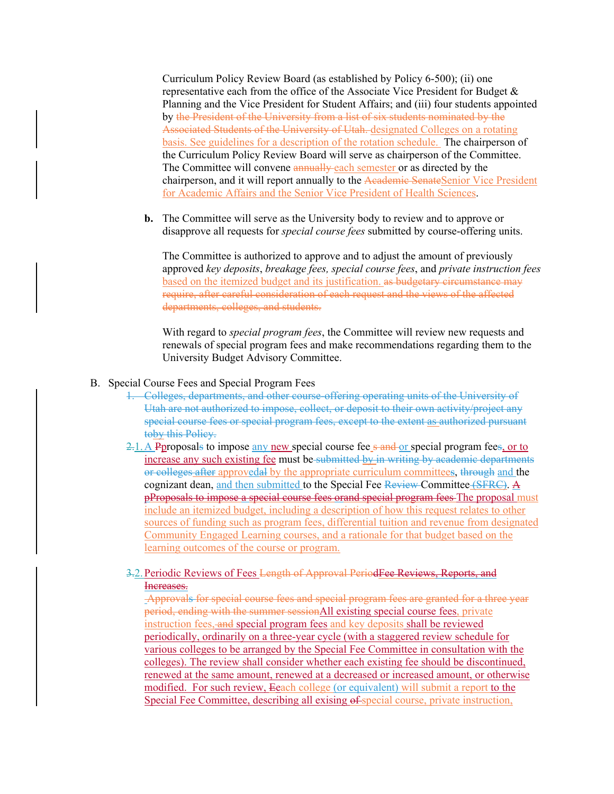Curriculum Policy Review Board (as established by Policy 6-500); (ii) one representative each from the office of the Associate Vice President for Budget & Planning and the Vice President for Student Affairs; and (iii) four students appointed by the President of the University from a list of six students nominated by the Associated Students of the University of Utah. designated Colleges on a rotating basis. See guidelines for a description of the rotation schedule. The chairperson of the Curriculum Policy Review Board will serve as chairperson of the Committee. The Committee will convene annually each semester or as directed by the chairperson, and it will report annually to the Academic SenateSenior Vice President for Academic Affairs and the Senior Vice President of Health Sciences.

**b.** The Committee will serve as the University body to review and to approve or disapprove all requests for *special course fees* submitted by course-offering units.

The Committee is authorized to approve and to adjust the amount of previously approved *key deposits*, *breakage fees, special course fees*, and *private instruction fees* based on the itemized budget and its justification. as budgetary circumstance may require, after careful consideration of each request and the views of the affected departments, colleges, and students.

With regard to *special program fees*, the Committee will review new requests and renewals of special program fees and make recommendations regarding them to the University Budget Advisory Committee.

- B. Special Course Fees and Special Program Fees
	- 1. Colleges, departments, and other course-offering operating units of the University of Utah are not authorized to impose, collect, or deposit to their own activity/project any special course fees or special program fees, except to the extent as authorized pursuant toby this Policy.
	- $2.1$ . A Pproposals to impose any new special course fee s and or special program fees, or to increase any such existing fee must be submitted by in writing by academic departments or colleges after approvedal by the appropriate curriculum committees, through and the cognizant dean, and then submitted to the Special Fee Review Committee (SFRC). A pProposals to impose a special course fees orand special program fees The proposal must include an itemized budget, including a description of how this request relates to other sources of funding such as program fees, differential tuition and revenue from designated Community Engaged Learning courses, and a rationale for that budget based on the learning outcomes of the course or program.
	- 3.2. Periodic Reviews of Fees Length of Approval PeriodFee Reviews, Reports, and Increases.

 Approvals for special course fees and special program fees are granted for a three year period, ending with the summer sessionAll existing special course fees, private instruction fees, and special program fees and key deposits shall be reviewed periodically, ordinarily on a three-year cycle (with a staggered review schedule for various colleges to be arranged by the Special Fee Committee in consultation with the colleges). The review shall consider whether each existing fee should be discontinued, renewed at the same amount, renewed at a decreased or increased amount, or otherwise modified. For such review, Eeach college (or equivalent) will submit a report to the Special Fee Committee, describing all exising of special course, private instruction,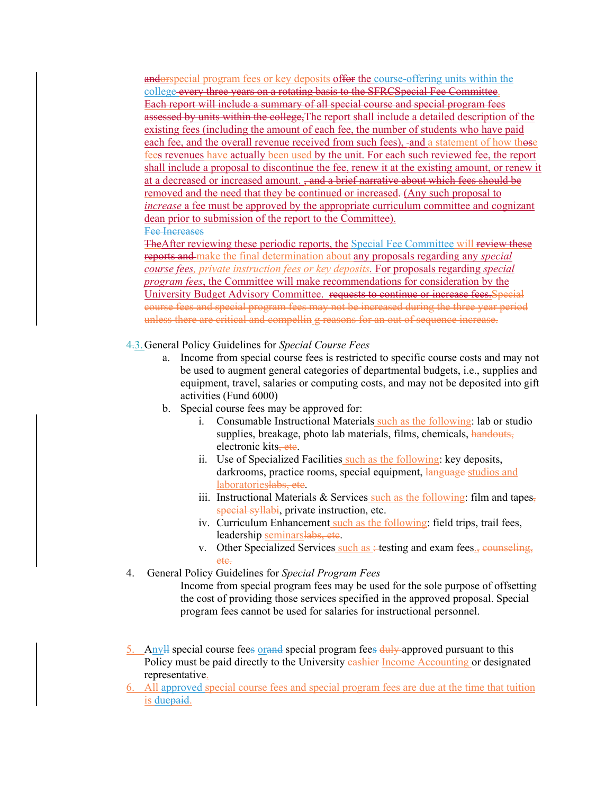andorspecial program fees or key deposits offer the course-offering units within the college every three years on a rotating basis to the SFRCSpecial Fee Committee. Each report will include a summary of all special course and special program fees assessed by units within the college. The report shall include a detailed description of the existing fees (including the amount of each fee, the number of students who have paid each fee, and the overall revenue received from such fees), -and a statement of how those fees revenues have actually been used by the unit. For each such reviewed fee, the report shall include a proposal to discontinue the fee, renew it at the existing amount, or renew it at a decreased or increased amount. <del>, and a brief narrative about which fees should be</del> removed and the need that they be continued or increased. (Any such proposal to *increase* a fee must be approved by the appropriate curriculum committee and cognizant dean prior to submission of the report to the Committee). Fee Increases

TheAfter reviewing these periodic reports, the Special Fee Committee will review these reports and make the final determination about any proposals regarding any *special course fees, private instruction fees or key deposits.* For proposals regarding *special program fees*, the Committee will make recommendations for consideration by the University Budget Advisory Committee. requests to continue or increase fees.Special course fees and special program fees may not be increased during the three year period unless there are critical and compellin g reasons for an out of sequence increase.

- 4.3.General Policy Guidelines for *Special Course Fees* 
	- a. Income from special course fees is restricted to specific course costs and may not be used to augment general categories of departmental budgets, i.e., supplies and equipment, travel, salaries or computing costs, and may not be deposited into gift activities (Fund 6000)
	- b. Special course fees may be approved for:
		- i. Consumable Instructional Materials such as the following: lab or studio supplies, breakage, photo lab materials, films, chemicals, handouts, electronic kits<del>, etc</del>.
		- ii. Use of Specialized Facilities such as the following: key deposits, darkrooms, practice rooms, special equipment, language studios and laboratorieslabs, etc.
		- iii. Instructional Materials  $&$  Services such as the following: film and tapes, special syllabi, private instruction, etc.
		- iv. Curriculum Enhancement such as the following: field trips, trail fees, leadership seminarslabs, etc.
		- v. Other Specialized Services such as :- testing and exam fees. $\frac{1}{5}$  counseling, etc.
- 4. General Policy Guidelines for *Special Program Fees*

Income from special program fees may be used for the sole purpose of offsetting the cost of providing those services specified in the approved proposal. Special program fees cannot be used for salaries for instructional personnel.

- 5. Anyll special course fees orand special program fees duly approved pursuant to this Policy must be paid directly to the University eashier Income Accounting or designated representative.
- 6. All approved special course fees and special program fees are due at the time that tuition is duepaid.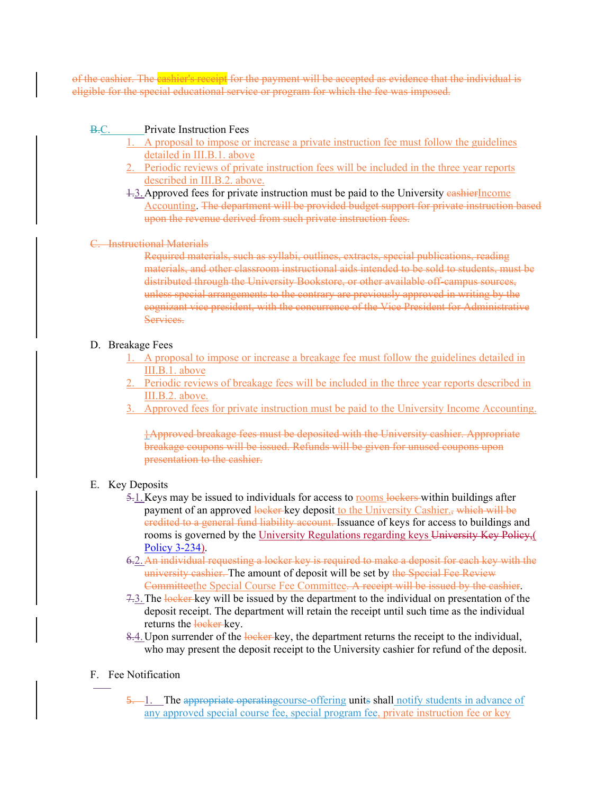of the cashier. The cashier's receipt for the payment will be accepted as evidence that the individual is eligible for the special educational service or program for which the fee was imposed.

### B.C. Private Instruction Fees

- 1. A proposal to impose or increase a private instruction fee must follow the guidelines detailed in III.B.1. above
- 2. Periodic reviews of private instruction fees will be included in the three year reports described in III.B.2. above.
- 1.3.Approved fees for private instruction must be paid to the University cashierIncome Accounting. The department will be provided budget support for private instruction based upon the revenue derived from such private instruction fees.

### C. Instructional Materials

Required materials, such as syllabi, outlines, extracts, special publications, reading materials, and other classroom instructional aids intended to be sold to students, must be distributed through the University Bookstore, or other available off-campus sources, unless special arrangements to the contrary are previously approved in writing by the cognizant vice president, with the concurrence of the Vice President for Administrative Services.

### D. Breakage Fees

- 1. A proposal to impose or increase a breakage fee must follow the guidelines detailed in III.B.1. above
- 2. Periodic reviews of breakage fees will be included in the three year reports described in III.B.2. above.
- 3. Approved fees for private instruction must be paid to the University Income Accounting.

}Approved breakage fees must be deposited with the University cashier. Appropriate breakage coupons will be issued. Refunds will be given for unused coupons upon presentation to the cashier.

### E. Key Deposits

- 5.1. Keys may be issued to individuals for access to rooms lockers within buildings after payment of an approved locker key deposit to the University Cashier., which will be credited to a general fund liability account. Issuance of keys for access to buildings and rooms is governed by the University Regulations regarding keys University Key Policy,( Policy 3-234).
- 6.2.An individual requesting a locker key is required to make a deposit for each key with the university cashier. The amount of deposit will be set by the Special Fee Review Committeethe Special Course Fee Committee. A receipt will be issued by the cashier.
- 7.3. The locker key will be issued by the department to the individual on presentation of the deposit receipt. The department will retain the receipt until such time as the individual returns the locker-key.
- 8.4. Upon surrender of the locker key, the department returns the receipt to the individual, who may present the deposit receipt to the University cashier for refund of the deposit.

### F. Fee Notification

5. 1. The appropriate operating course-offering units shall notify students in advance of any approved special course fee, special program fee, private instruction fee or key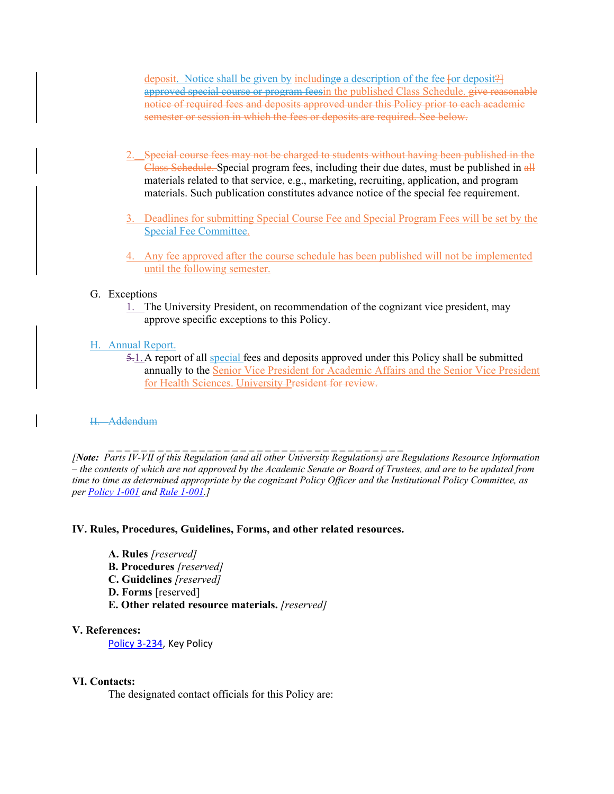deposit. Notice shall be given by including a description of the fee for deposit? approved special course or program feesin the published Class Schedule. give reasonable notice of required fees and deposits approved under this Policy prior to each academic semester or session in which the fees or deposits are required. See below.

- 2. Special course fees may not be charged to students without having been published in the Class Schedule. Special program fees, including their due dates, must be published in  $\frac{d\mathbf{H}}{d\mathbf{H}}$ materials related to that service, e.g., marketing, recruiting, application, and program materials. Such publication constitutes advance notice of the special fee requirement.
- 3. Deadlines for submitting Special Course Fee and Special Program Fees will be set by the Special Fee Committee.
- 4. Any fee approved after the course schedule has been published will not be implemented until the following semester.

### G. Exceptions

1. The University President, on recommendation of the cognizant vice president, may approve specific exceptions to this Policy.

# H. Annual Report.

5.1. A report of all special fees and deposits approved under this Policy shall be submitted annually to the Senior Vice President for Academic Affairs and the Senior Vice President for Health Sciences. University President for review.

### H. Addendum

*[Note: Parts IV-VII of this Regulation (and all other University Regulations) are Regulations Resource Information – the contents of which are not approved by the Academic Senate or Board of Trustees, and are to be updated from time to time as determined appropriate by the cognizant Policy Officer and the Institutional Policy Committee, as per Policy 1-001 and Rule 1-001.]* 

### **IV. Rules, Procedures, Guidelines, Forms, and other related resources.**

 $\mathcal{L} = \{ \mathcal{L} \mid \mathcal{L} = \mathcal{L} \}$ 

- **A. Rules** *[reserved]*
- **B. Procedures** *[reserved]*
- **C. Guidelines** *[reserved]*
- **D. Forms** [reserved]
- **E. Other related resource materials.** *[reserved]*

### **V. References:**

Policy 3‐234, Key Policy

### **VI. Contacts:**

The designated contact officials for this Policy are: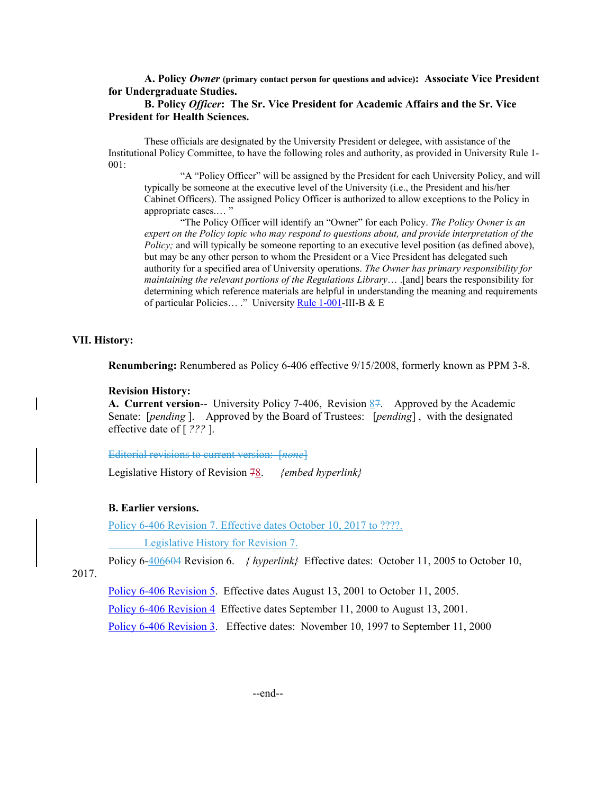**A. Policy** *Owner* **(primary contact person for questions and advice): Associate Vice President for Undergraduate Studies.** 

### **B. Policy** *Officer***: The Sr. Vice President for Academic Affairs and the Sr. Vice President for Health Sciences.**

These officials are designated by the University President or delegee, with assistance of the Institutional Policy Committee, to have the following roles and authority, as provided in University Rule 1- 001:

"A "Policy Officer" will be assigned by the President for each University Policy, and will typically be someone at the executive level of the University (i.e., the President and his/her Cabinet Officers). The assigned Policy Officer is authorized to allow exceptions to the Policy in appropriate cases.… "

"The Policy Officer will identify an "Owner" for each Policy. *The Policy Owner is an expert on the Policy topic who may respond to questions about, and provide interpretation of the Policy;* and will typically be someone reporting to an executive level position (as defined above), but may be any other person to whom the President or a Vice President has delegated such authority for a specified area of University operations. *The Owner has primary responsibility for maintaining the relevant portions of the Regulations Library*... .[and] bears the responsibility for determining which reference materials are helpful in understanding the meaning and requirements of particular Policies… ." University Rule 1-001-III-B & E

### **VII. History:**

**Renumbering:** Renumbered as Policy 6-406 effective 9/15/2008, formerly known as PPM 3-8.

#### **Revision History:**

**A. Current version**-- University Policy 7-406, Revision 87. Approved by the Academic Senate: [*pending* ]. Approved by the Board of Trustees: [*pending*] , with the designated effective date of [ *???* ].

Editorial revisions to current version: [*none*]

Legislative History of Revision 78. *{embed hyperlink}* 

#### **B. Earlier versions.**

Policy 6-406 Revision 7. Effective dates October 10, 2017 to ????.

Legislative History for Revision 7.

Policy 6-406604 Revision 6. *{ hyperlink}* Effective dates: October 11, 2005 to October 10,

2017.

Policy 6-406 Revision 5. Effective dates August 13, 2001 to October 11, 2005.

Policy 6-406 Revision 4 Effective dates September 11, 2000 to August 13, 2001.

Policy 6-406 Revision 3. Effective dates: November 10, 1997 to September 11, 2000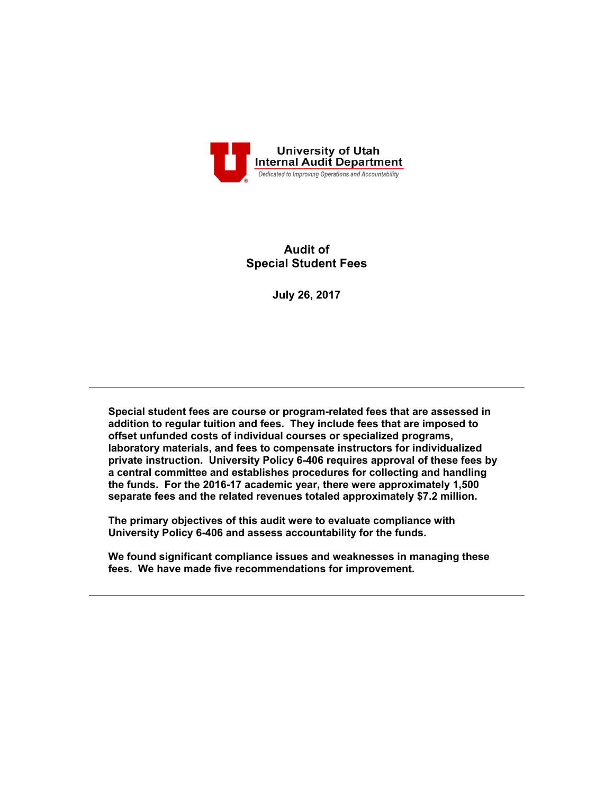

# **Audit of Special Student Fees**

**July 26, 2017**

**Special student fees are course or program-related fees that are assessed in addition to regular tuition and fees. They include fees that are imposed to offset unfunded costs of individual courses or specialized programs, laboratory materials, and fees to compensate instructors for individualized private instruction. University Policy 6-406 requires approval of these fees by a central committee and establishes procedures for collecting and handling the funds. For the 2016-17 academic year, there were approximately 1,500 separate fees and the related revenues totaled approximately \$7.2 million.** 

**The primary objectives of this audit were to evaluate compliance with University Policy 6-406 and assess accountability for the funds.** 

**We found significant compliance issues and weaknesses in managing these fees. We have made five recommendations for improvement.**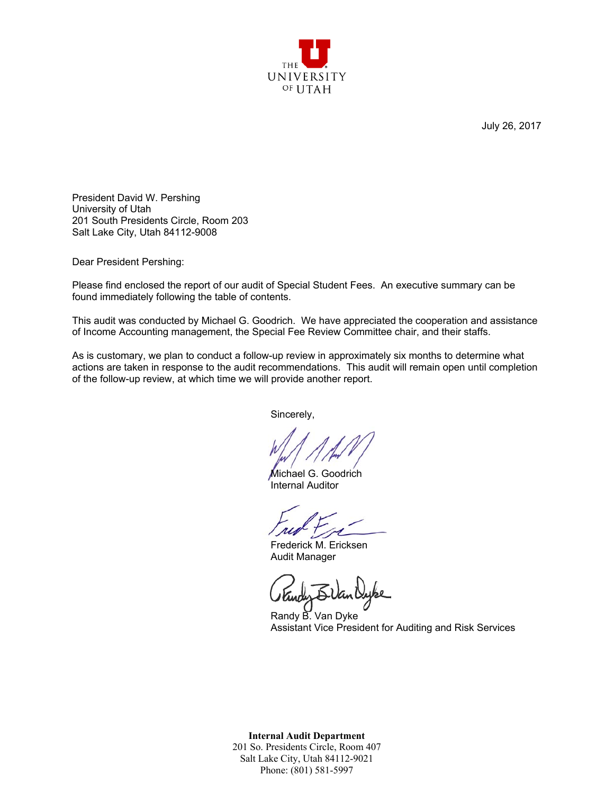

July 26, 2017

President David W. Pershing University of Utah 201 South Presidents Circle, Room 203 Salt Lake City, Utah 84112-9008

Dear President Pershing:

Please find enclosed the report of our audit of Special Student Fees. An executive summary can be found immediately following the table of contents.

This audit was conducted by Michael G. Goodrich. We have appreciated the cooperation and assistance of Income Accounting management, the Special Fee Review Committee chair, and their staffs.

As is customary, we plan to conduct a follow-up review in approximately six months to determine what actions are taken in response to the audit recommendations. This audit will remain open until completion of the follow-up review, at which time we will provide another report.

Sincerely,

Michael G. Goodrich Internal Auditor

Frederick M. Ericksen Audit Manager

Randy B. Van Dyke Assistant Vice President for Auditing and Risk Services

**Internal Audit Department**  201 So. Presidents Circle, Room 407 Salt Lake City, Utah 84112-9021 Phone: (801) 581-5997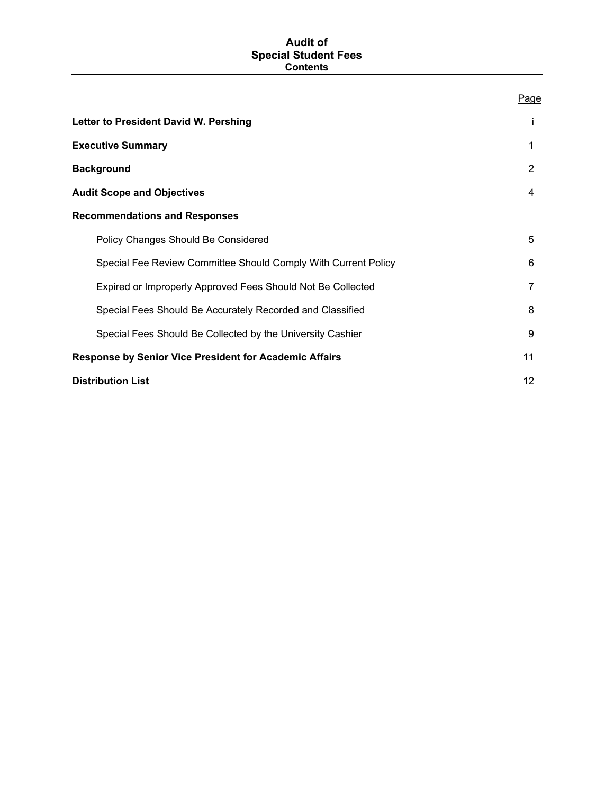### **Audit of Special Student Fees Contents**

| Letter to President David W. Pershing                          | Ť               |
|----------------------------------------------------------------|-----------------|
| <b>Executive Summary</b>                                       | 1               |
| <b>Background</b>                                              | 2               |
| <b>Audit Scope and Objectives</b>                              | 4               |
| <b>Recommendations and Responses</b>                           |                 |
| Policy Changes Should Be Considered                            | 5               |
| Special Fee Review Committee Should Comply With Current Policy | 6               |
| Expired or Improperly Approved Fees Should Not Be Collected    | $\overline{7}$  |
| Special Fees Should Be Accurately Recorded and Classified      | 8               |
| Special Fees Should Be Collected by the University Cashier     | 9               |
| <b>Response by Senior Vice President for Academic Affairs</b>  | 11              |
| <b>Distribution List</b>                                       | 12 <sup>2</sup> |

# Page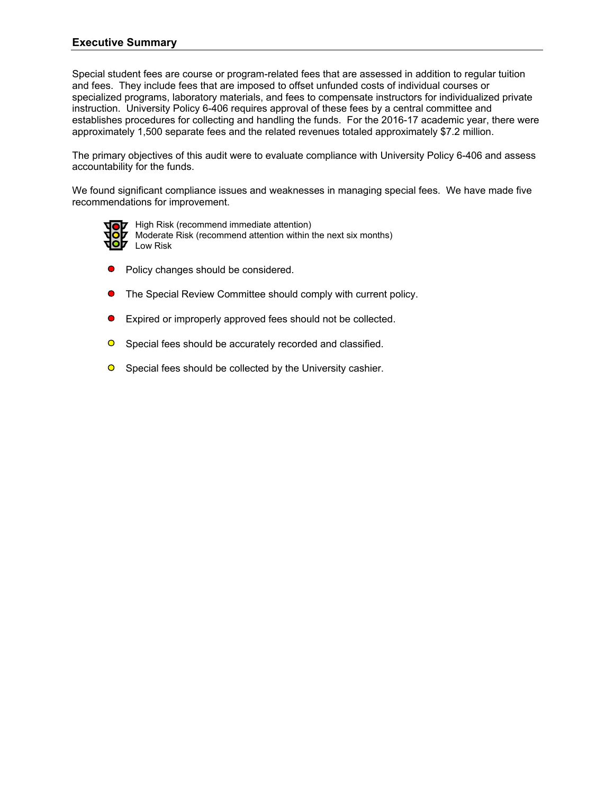# **Executive Summary**

Special student fees are course or program-related fees that are assessed in addition to regular tuition and fees. They include fees that are imposed to offset unfunded costs of individual courses or specialized programs, laboratory materials, and fees to compensate instructors for individualized private instruction. University Policy 6-406 requires approval of these fees by a central committee and establishes procedures for collecting and handling the funds. For the 2016-17 academic year, there were approximately 1,500 separate fees and the related revenues totaled approximately \$7.2 million.

The primary objectives of this audit were to evaluate compliance with University Policy 6-406 and assess accountability for the funds.

We found significant compliance issues and weaknesses in managing special fees. We have made five recommendations for improvement.



**OZ** High Risk (recommend immediate attention) Moderate Risk (recommend attention within the next six months) Low Risk

- Policy changes should be considered.
- The Special Review Committee should comply with current policy.  $\bullet$
- Expired or improperly approved fees should not be collected.  $\bullet$
- $\bullet$ Special fees should be accurately recorded and classified.
- **O** Special fees should be collected by the University cashier.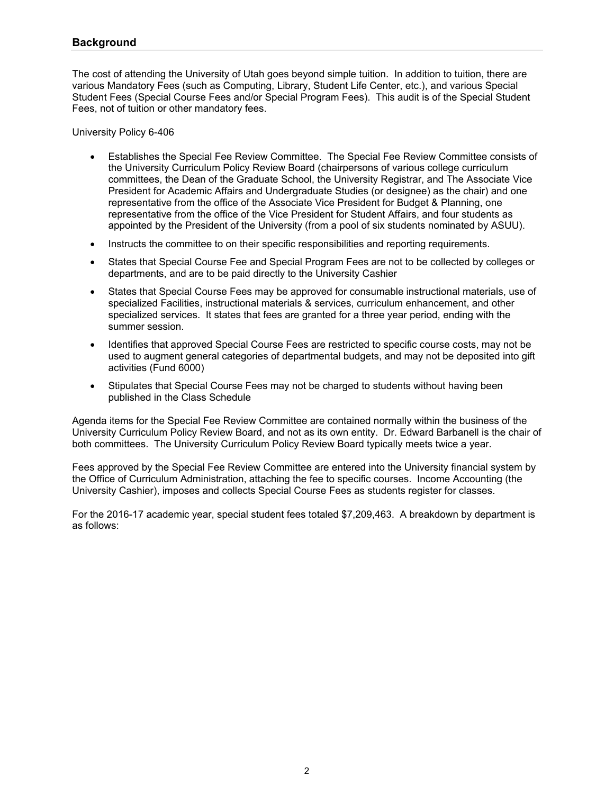## **Background**

The cost of attending the University of Utah goes beyond simple tuition. In addition to tuition, there are various Mandatory Fees (such as Computing, Library, Student Life Center, etc.), and various Special Student Fees (Special Course Fees and/or Special Program Fees). This audit is of the Special Student Fees, not of tuition or other mandatory fees.

University Policy 6-406

- Establishes the Special Fee Review Committee. The Special Fee Review Committee consists of the University Curriculum Policy Review Board (chairpersons of various college curriculum committees, the Dean of the Graduate School, the University Registrar, and The Associate Vice President for Academic Affairs and Undergraduate Studies (or designee) as the chair) and one representative from the office of the Associate Vice President for Budget & Planning, one representative from the office of the Vice President for Student Affairs, and four students as appointed by the President of the University (from a pool of six students nominated by ASUU).
- Instructs the committee to on their specific responsibilities and reporting requirements.
- States that Special Course Fee and Special Program Fees are not to be collected by colleges or departments, and are to be paid directly to the University Cashier
- States that Special Course Fees may be approved for consumable instructional materials, use of specialized Facilities, instructional materials & services, curriculum enhancement, and other specialized services. It states that fees are granted for a three year period, ending with the summer session.
- Identifies that approved Special Course Fees are restricted to specific course costs, may not be used to augment general categories of departmental budgets, and may not be deposited into gift activities (Fund 6000)
- Stipulates that Special Course Fees may not be charged to students without having been published in the Class Schedule

Agenda items for the Special Fee Review Committee are contained normally within the business of the University Curriculum Policy Review Board, and not as its own entity. Dr. Edward Barbanell is the chair of both committees. The University Curriculum Policy Review Board typically meets twice a year.

Fees approved by the Special Fee Review Committee are entered into the University financial system by the Office of Curriculum Administration, attaching the fee to specific courses. Income Accounting (the University Cashier), imposes and collects Special Course Fees as students register for classes.

For the 2016-17 academic year, special student fees totaled \$7,209,463. A breakdown by department is as follows: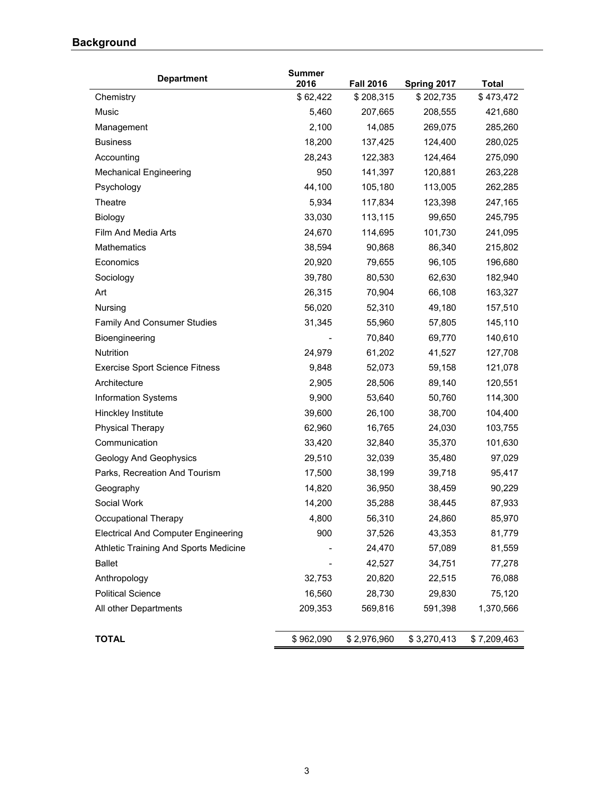# **Background**

| <b>Department</b>                          | <b>Summer</b><br>2016 | <b>Fall 2016</b> | Spring 2017 | <b>Total</b> |
|--------------------------------------------|-----------------------|------------------|-------------|--------------|
| Chemistry                                  | \$62,422              | \$208,315        | \$202,735   | \$473,472    |
| Music                                      | 5,460                 | 207,665          | 208,555     | 421,680      |
| Management                                 | 2,100                 | 14,085           | 269,075     | 285,260      |
| <b>Business</b>                            | 18,200                | 137,425          | 124,400     | 280,025      |
| Accounting                                 | 28,243                | 122,383          | 124,464     | 275,090      |
| <b>Mechanical Engineering</b>              | 950                   | 141,397          | 120,881     | 263,228      |
| Psychology                                 | 44,100                | 105,180          | 113,005     | 262,285      |
| Theatre                                    | 5,934                 | 117,834          | 123,398     | 247,165      |
| Biology                                    | 33,030                | 113,115          | 99,650      | 245,795      |
| Film And Media Arts                        | 24,670                | 114,695          | 101,730     | 241,095      |
| Mathematics                                | 38,594                | 90,868           | 86,340      | 215,802      |
| Economics                                  | 20,920                | 79,655           | 96,105      | 196,680      |
| Sociology                                  | 39,780                | 80,530           | 62,630      | 182,940      |
| Art                                        | 26,315                | 70,904           | 66,108      | 163,327      |
| Nursing                                    | 56,020                | 52,310           | 49,180      | 157,510      |
| <b>Family And Consumer Studies</b>         | 31,345                | 55,960           | 57,805      | 145,110      |
| Bioengineering                             |                       | 70,840           | 69,770      | 140,610      |
| Nutrition                                  | 24,979                | 61,202           | 41,527      | 127,708      |
| <b>Exercise Sport Science Fitness</b>      | 9,848                 | 52,073           | 59,158      | 121,078      |
| Architecture                               | 2,905                 | 28,506           | 89,140      | 120,551      |
| <b>Information Systems</b>                 | 9,900                 | 53,640           | 50,760      | 114,300      |
| Hinckley Institute                         | 39,600                | 26,100           | 38,700      | 104,400      |
| <b>Physical Therapy</b>                    | 62,960                | 16,765           | 24,030      | 103,755      |
| Communication                              | 33,420                | 32,840           | 35,370      | 101,630      |
| Geology And Geophysics                     | 29,510                | 32,039           | 35,480      | 97,029       |
| Parks, Recreation And Tourism              | 17,500                | 38,199           | 39,718      | 95,417       |
| Geography                                  | 14,820                | 36,950           | 38,459      | 90,229       |
| Social Work                                | 14,200                | 35,288           | 38,445      | 87,933       |
| Occupational Therapy                       | 4,800                 | 56,310           | 24,860      | 85,970       |
| <b>Electrical And Computer Engineering</b> | 900                   | 37,526           | 43,353      | 81,779       |
| Athletic Training And Sports Medicine      |                       | 24,470           | 57,089      | 81,559       |
| <b>Ballet</b>                              |                       | 42,527           | 34,751      | 77,278       |
| Anthropology                               | 32,753                | 20,820           | 22,515      | 76,088       |
| <b>Political Science</b>                   | 16,560                | 28,730           | 29,830      | 75,120       |
| All other Departments                      | 209,353               | 569,816          | 591,398     | 1,370,566    |
| <b>TOTAL</b>                               | \$962,090             | \$2,976,960      | \$3,270,413 | \$7,209,463  |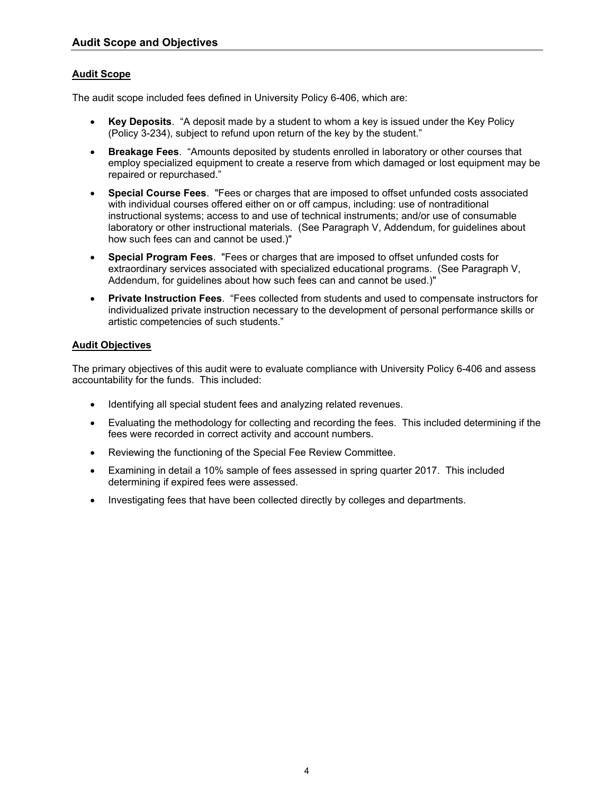# **Audit Scope**

The audit scope included fees defined in University Policy 6-406, which are:

- **Key Deposits**. "A deposit made by a student to whom a key is issued under the Key Policy (Policy 3-234), subject to refund upon return of the key by the student."
- **Breakage Fees**. "Amounts deposited by students enrolled in laboratory or other courses that employ specialized equipment to create a reserve from which damaged or lost equipment may be repaired or repurchased."
- **Special Course Fees**. "Fees or charges that are imposed to offset unfunded costs associated with individual courses offered either on or off campus, including: use of nontraditional instructional systems; access to and use of technical instruments; and/or use of consumable laboratory or other instructional materials. (See Paragraph V, Addendum, for guidelines about how such fees can and cannot be used.)"
- **Special Program Fees**. "Fees or charges that are imposed to offset unfunded costs for extraordinary services associated with specialized educational programs. (See Paragraph V, Addendum, for guidelines about how such fees can and cannot be used.)"
- **Private Instruction Fees**. "Fees collected from students and used to compensate instructors for individualized private instruction necessary to the development of personal performance skills or artistic competencies of such students."

# **Audit Objectives**

The primary objectives of this audit were to evaluate compliance with University Policy 6-406 and assess accountability for the funds. This included:

- Identifying all special student fees and analyzing related revenues.
- Evaluating the methodology for collecting and recording the fees. This included determining if the fees were recorded in correct activity and account numbers.
- Reviewing the functioning of the Special Fee Review Committee.
- Examining in detail a 10% sample of fees assessed in spring quarter 2017. This included determining if expired fees were assessed.
- Investigating fees that have been collected directly by colleges and departments.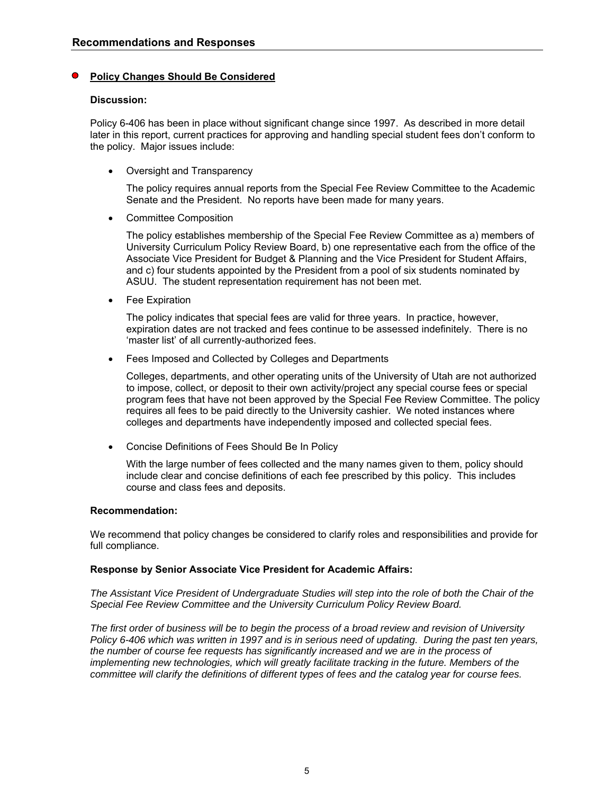### **Policy Changes Should Be Considered**

### **Discussion:**

Policy 6-406 has been in place without significant change since 1997. As described in more detail later in this report, current practices for approving and handling special student fees don't conform to the policy. Major issues include:

• Oversight and Transparency

The policy requires annual reports from the Special Fee Review Committee to the Academic Senate and the President. No reports have been made for many years.

Committee Composition

The policy establishes membership of the Special Fee Review Committee as a) members of University Curriculum Policy Review Board, b) one representative each from the office of the Associate Vice President for Budget & Planning and the Vice President for Student Affairs, and c) four students appointed by the President from a pool of six students nominated by ASUU. The student representation requirement has not been met.

• Fee Expiration

The policy indicates that special fees are valid for three years. In practice, however, expiration dates are not tracked and fees continue to be assessed indefinitely. There is no 'master list' of all currently-authorized fees.

Fees Imposed and Collected by Colleges and Departments

Colleges, departments, and other operating units of the University of Utah are not authorized to impose, collect, or deposit to their own activity/project any special course fees or special program fees that have not been approved by the Special Fee Review Committee. The policy requires all fees to be paid directly to the University cashier. We noted instances where colleges and departments have independently imposed and collected special fees.

Concise Definitions of Fees Should Be In Policy

With the large number of fees collected and the many names given to them, policy should include clear and concise definitions of each fee prescribed by this policy. This includes course and class fees and deposits.

### **Recommendation:**

We recommend that policy changes be considered to clarify roles and responsibilities and provide for full compliance.

### **Response by Senior Associate Vice President for Academic Affairs:**

*The Assistant Vice President of Undergraduate Studies will step into the role of both the Chair of the Special Fee Review Committee and the University Curriculum Policy Review Board.* 

*The first order of business will be to begin the process of a broad review and revision of University Policy 6-406 which was written in 1997 and is in serious need of updating. During the past ten years, the number of course fee requests has significantly increased and we are in the process of implementing new technologies, which will greatly facilitate tracking in the future. Members of the committee will clarify the definitions of different types of fees and the catalog year for course fees.*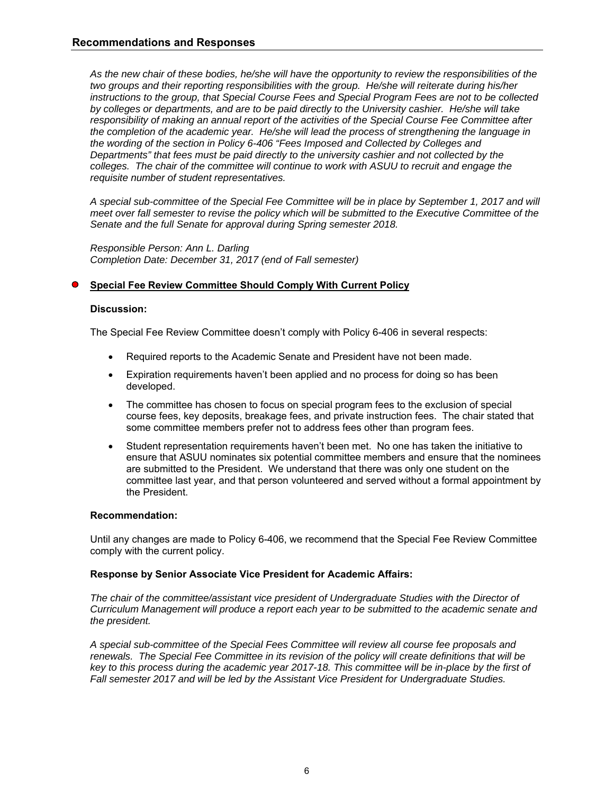*As the new chair of these bodies, he/she will have the opportunity to review the responsibilities of the two groups and their reporting responsibilities with the group. He/she will reiterate during his/her instructions to the group, that Special Course Fees and Special Program Fees are not to be collected by colleges or departments, and are to be paid directly to the University cashier. He/she will take responsibility of making an annual report of the activities of the Special Course Fee Committee after the completion of the academic year. He/she will lead the process of strengthening the language in the wording of the section in Policy 6-406 "Fees Imposed and Collected by Colleges and Departments" that fees must be paid directly to the university cashier and not collected by the colleges. The chair of the committee will continue to work with ASUU to recruit and engage the requisite number of student representatives.* 

*A special sub-committee of the Special Fee Committee will be in place by September 1, 2017 and will meet over fall semester to revise the policy which will be submitted to the Executive Committee of the Senate and the full Senate for approval during Spring semester 2018.* 

*Responsible Person: Ann L. Darling Completion Date: December 31, 2017 (end of Fall semester)* 

### **Special Fee Review Committee Should Comply With Current Policy**

### **Discussion:**

The Special Fee Review Committee doesn't comply with Policy 6-406 in several respects:

- Required reports to the Academic Senate and President have not been made.
- Expiration requirements haven't been applied and no process for doing so has been developed.
- The committee has chosen to focus on special program fees to the exclusion of special course fees, key deposits, breakage fees, and private instruction fees. The chair stated that some committee members prefer not to address fees other than program fees.
- Student representation requirements haven't been met. No one has taken the initiative to ensure that ASUU nominates six potential committee members and ensure that the nominees are submitted to the President. We understand that there was only one student on the committee last year, and that person volunteered and served without a formal appointment by the President.

### **Recommendation:**

Until any changes are made to Policy 6-406, we recommend that the Special Fee Review Committee comply with the current policy.

### **Response by Senior Associate Vice President for Academic Affairs:**

*The chair of the committee/assistant vice president of Undergraduate Studies with the Director of Curriculum Management will produce a report each year to be submitted to the academic senate and the president.* 

*A special sub-committee of the Special Fees Committee will review all course fee proposals and renewals. The Special Fee Committee in its revision of the policy will create definitions that will be key to this process during the academic year 2017-18. This committee will be in-place by the first of Fall semester 2017 and will be led by the Assistant Vice President for Undergraduate Studies.*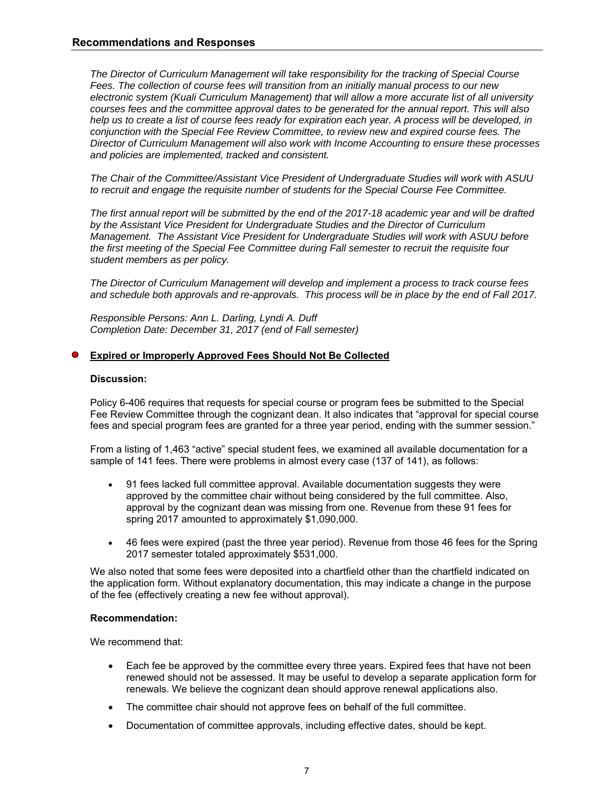*The Director of Curriculum Management will take responsibility for the tracking of Special Course Fees. The collection of course fees will transition from an initially manual process to our new electronic system (Kuali Curriculum Management) that will allow a more accurate list of all university courses fees and the committee approval dates to be generated for the annual report. This will also help us to create a list of course fees ready for expiration each year. A process will be developed, in conjunction with the Special Fee Review Committee, to review new and expired course fees. The Director of Curriculum Management will also work with Income Accounting to ensure these processes and policies are implemented, tracked and consistent.* 

*The Chair of the Committee/Assistant Vice President of Undergraduate Studies will work with ASUU to recruit and engage the requisite number of students for the Special Course Fee Committee.* 

*The first annual report will be submitted by the end of the 2017-18 academic year and will be drafted by the Assistant Vice President for Undergraduate Studies and the Director of Curriculum Management. The Assistant Vice President for Undergraduate Studies will work with ASUU before the first meeting of the Special Fee Committee during Fall semester to recruit the requisite four student members as per policy.* 

*The Director of Curriculum Management will develop and implement a process to track course fees and schedule both approvals and re-approvals. This process will be in place by the end of Fall 2017.* 

*Responsible Persons: Ann L. Darling, Lyndi A. Duff Completion Date: December 31, 2017 (end of Fall semester)* 

### **Expired or Improperly Approved Fees Should Not Be Collected**

### **Discussion:**

Policy 6-406 requires that requests for special course or program fees be submitted to the Special Fee Review Committee through the cognizant dean. It also indicates that "approval for special course fees and special program fees are granted for a three year period, ending with the summer session."

From a listing of 1,463 "active" special student fees, we examined all available documentation for a sample of 141 fees. There were problems in almost every case (137 of 141), as follows:

- 91 fees lacked full committee approval. Available documentation suggests they were approved by the committee chair without being considered by the full committee. Also, approval by the cognizant dean was missing from one. Revenue from these 91 fees for spring 2017 amounted to approximately \$1,090,000.
- 46 fees were expired (past the three year period). Revenue from those 46 fees for the Spring 2017 semester totaled approximately \$531,000.

We also noted that some fees were deposited into a chartfield other than the chartfield indicated on the application form. Without explanatory documentation, this may indicate a change in the purpose of the fee (effectively creating a new fee without approval).

### **Recommendation:**

We recommend that:

- Each fee be approved by the committee every three years. Expired fees that have not been renewed should not be assessed. It may be useful to develop a separate application form for renewals. We believe the cognizant dean should approve renewal applications also.
- The committee chair should not approve fees on behalf of the full committee.
- Documentation of committee approvals, including effective dates, should be kept.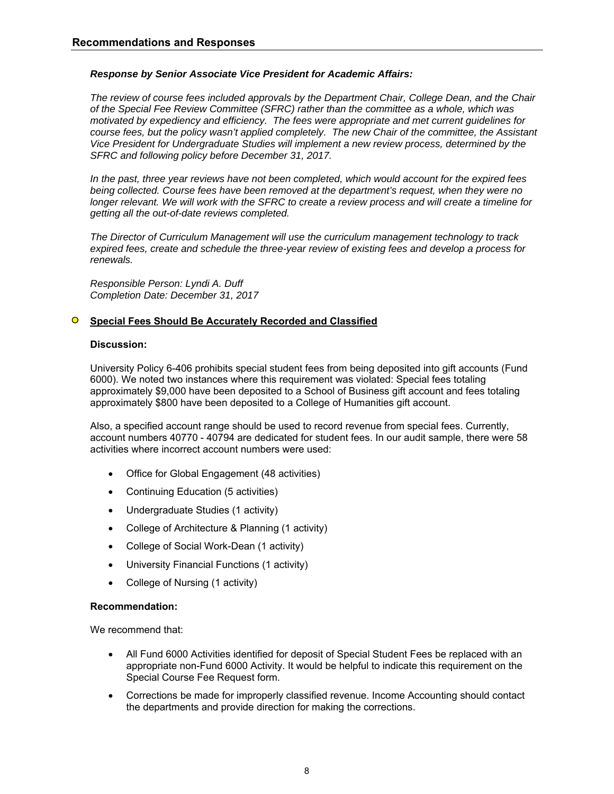### *Response by Senior Associate Vice President for Academic Affairs:*

*The review of course fees included approvals by the Department Chair, College Dean, and the Chair of the Special Fee Review Committee (SFRC) rather than the committee as a whole, which was motivated by expediency and efficiency. The fees were appropriate and met current guidelines for course fees, but the policy wasn't applied completely. The new Chair of the committee, the Assistant Vice President for Undergraduate Studies will implement a new review process, determined by the SFRC and following policy before December 31, 2017.* 

*In the past, three year reviews have not been completed, which would account for the expired fees being collected. Course fees have been removed at the department's request, when they were no longer relevant. We will work with the SFRC to create a review process and will create a timeline for getting all the out-of-date reviews completed.* 

*The Director of Curriculum Management will use the curriculum management technology to track expired fees, create and schedule the three-year review of existing fees and develop a process for renewals.* 

*Responsible Person: Lyndi A. Duff Completion Date: December 31, 2017* 

#### **Special Fees Should Be Accurately Recorded and Classified**  $\bullet$

### **Discussion:**

University Policy 6-406 prohibits special student fees from being deposited into gift accounts (Fund 6000). We noted two instances where this requirement was violated: Special fees totaling approximately \$9,000 have been deposited to a School of Business gift account and fees totaling approximately \$800 have been deposited to a College of Humanities gift account.

Also, a specified account range should be used to record revenue from special fees. Currently, account numbers 40770 - 40794 are dedicated for student fees. In our audit sample, there were 58 activities where incorrect account numbers were used:

- Office for Global Engagement (48 activities)
- Continuing Education (5 activities)
- Undergraduate Studies (1 activity)
- College of Architecture & Planning (1 activity)
- College of Social Work-Dean (1 activity)
- University Financial Functions (1 activity)
- College of Nursing (1 activity)

### **Recommendation:**

We recommend that:

- All Fund 6000 Activities identified for deposit of Special Student Fees be replaced with an appropriate non-Fund 6000 Activity. It would be helpful to indicate this requirement on the Special Course Fee Request form.
- Corrections be made for improperly classified revenue. Income Accounting should contact the departments and provide direction for making the corrections.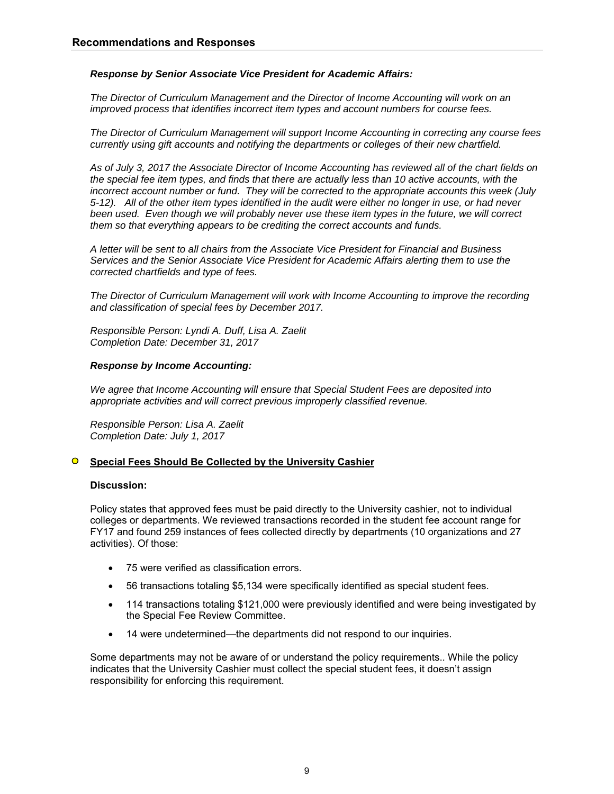### *Response by Senior Associate Vice President for Academic Affairs:*

*The Director of Curriculum Management and the Director of Income Accounting will work on an improved process that identifies incorrect item types and account numbers for course fees.* 

*The Director of Curriculum Management will support Income Accounting in correcting any course fees currently using gift accounts and notifying the departments or colleges of their new chartfield.* 

*As of July 3, 2017 the Associate Director of Income Accounting has reviewed all of the chart fields on the special fee item types, and finds that there are actually less than 10 active accounts, with the incorrect account number or fund. They will be corrected to the appropriate accounts this week (July 5-12). All of the other item types identified in the audit were either no longer in use, or had never been used. Even though we will probably never use these item types in the future, we will correct them so that everything appears to be crediting the correct accounts and funds.* 

*A letter will be sent to all chairs from the Associate Vice President for Financial and Business Services and the Senior Associate Vice President for Academic Affairs alerting them to use the corrected chartfields and type of fees.* 

*The Director of Curriculum Management will work with Income Accounting to improve the recording and classification of special fees by December 2017.* 

*Responsible Person: Lyndi A. Duff, Lisa A. Zaelit Completion Date: December 31, 2017* 

### *Response by Income Accounting:*

*We agree that Income Accounting will ensure that Special Student Fees are deposited into appropriate activities and will correct previous improperly classified revenue.* 

*Responsible Person: Lisa A. Zaelit Completion Date: July 1, 2017* 

#### $\Omega$ **Special Fees Should Be Collected by the University Cashier**

### **Discussion:**

Policy states that approved fees must be paid directly to the University cashier, not to individual colleges or departments. We reviewed transactions recorded in the student fee account range for FY17 and found 259 instances of fees collected directly by departments (10 organizations and 27 activities). Of those:

- 75 were verified as classification errors.
- 56 transactions totaling \$5,134 were specifically identified as special student fees.
- 114 transactions totaling \$121,000 were previously identified and were being investigated by the Special Fee Review Committee.
- 14 were undetermined—the departments did not respond to our inquiries.

Some departments may not be aware of or understand the policy requirements.. While the policy indicates that the University Cashier must collect the special student fees, it doesn't assign responsibility for enforcing this requirement.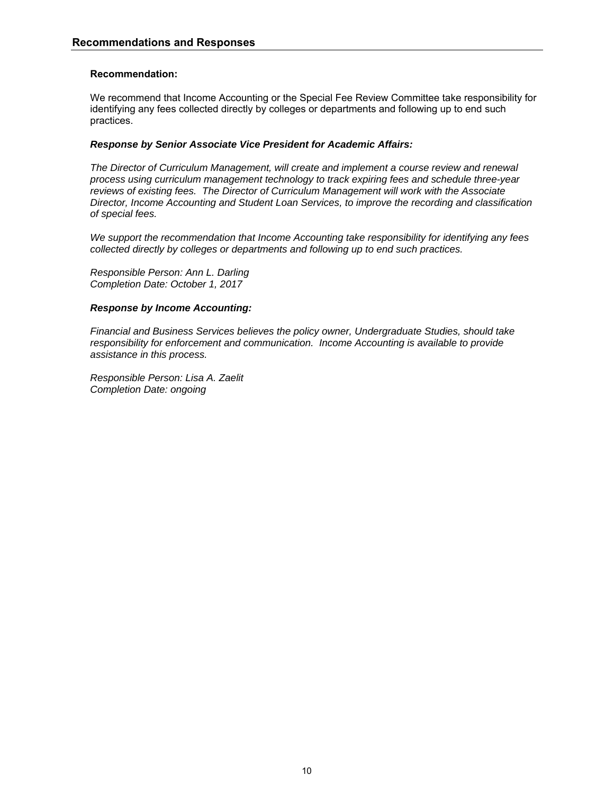### **Recommendation:**

We recommend that Income Accounting or the Special Fee Review Committee take responsibility for identifying any fees collected directly by colleges or departments and following up to end such practices.

### *Response by Senior Associate Vice President for Academic Affairs:*

*The Director of Curriculum Management, will create and implement a course review and renewal process using curriculum management technology to track expiring fees and schedule three-year reviews of existing fees. The Director of Curriculum Management will work with the Associate Director, Income Accounting and Student Loan Services, to improve the recording and classification of special fees.* 

*We support the recommendation that Income Accounting take responsibility for identifying any fees collected directly by colleges or departments and following up to end such practices.* 

*Responsible Person: Ann L. Darling Completion Date: October 1, 2017* 

### *Response by Income Accounting:*

*Financial and Business Services believes the policy owner, Undergraduate Studies, should take responsibility for enforcement and communication. Income Accounting is available to provide assistance in this process.* 

*Responsible Person: Lisa A. Zaelit Completion Date: ongoing*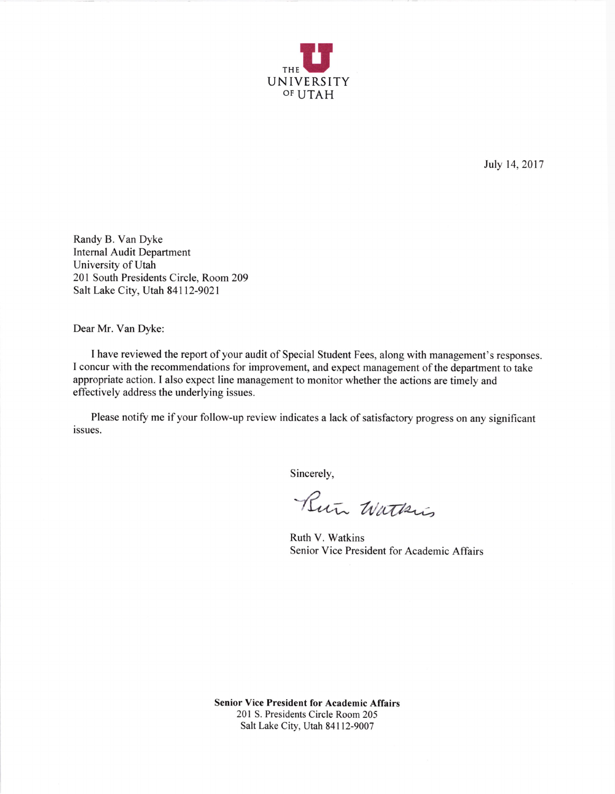

JuJy 14,2017

Randy B. Van Dyke Internal Audit Department University of Utah 201 South Presidents Circle, Room 209 Salt Lake city, Utah 84112-9021

Dear Mr. Van Dyke:

I have reviewed the report of your audit of Special Student Fees, along with management's responses. I concur with the recommendations for improvement, and expect management of the department to take appropriate action. I also expect line management to monitor whether the actions are timely and effectively address the underlying issues.

Please notify me if your follow-up review indicates a lack of satisfactory progress on any significant issues.

Sincerely

Run Watkis

Ruth V. Watkins Senior Vice President for Academic Affairs

Senior Vice President for Academic Affairs 201 S. Presidents Circle Room 205 Salt Lake City, Utah 84112-9007